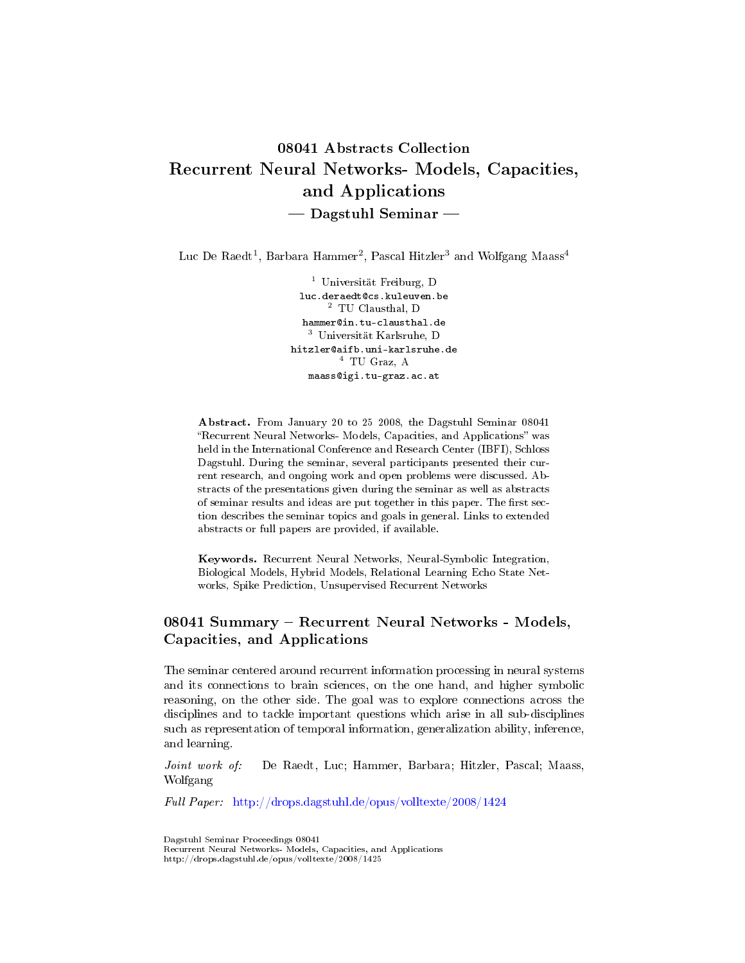# 08041 Abstracts Collection Recurrent Neural Networks- Models, Capacities, and Applications  $-$  Dagstuhl Seminar  $-$

Luc De Raedt<sup>1</sup>, Barbara Hammer<sup>2</sup>, Pascal Hitzler<sup>3</sup> and Wolfgang Maass<sup>4</sup>

<sup>1</sup> Universität Freiburg, D luc.deraedt@cs.kuleuven.be <sup>2</sup> TU Clausthal, D hammer@in.tu-clausthal.de <sup>3</sup> Universität Karlsruhe, D hitzler@aifb.uni-karlsruhe.de <sup>4</sup> TU Graz, A maass@igi.tu-graz.ac.at

Abstract. From January 20 to 25 2008, the Dagstuhl Seminar 08041 "Recurrent Neural Networks- Models, Capacities, and Applications" was held in the International Conference and Research Center (IBFI), Schloss Dagstuhl. During the seminar, several participants presented their current research, and ongoing work and open problems were discussed. Abstracts of the presentations given during the seminar as well as abstracts of seminar results and ideas are put together in this paper. The first section describes the seminar topics and goals in general. Links to extended abstracts or full papers are provided, if available.

Keywords. Recurrent Neural Networks, Neural-Symbolic Integration, Biological Models, Hybrid Models, Relational Learning Echo State Networks, Spike Prediction, Unsupervised Recurrent Networks

#### 08041 Summary – Recurrent Neural Networks - Models, Capacities, and Applications

The seminar centered around recurrent information processing in neural systems and its connections to brain sciences, on the one hand, and higher symbolic reasoning, on the other side. The goal was to explore connections across the disciplines and to tackle important questions which arise in all sub-disciplines such as representation of temporal information, generalization ability, inference, and learning.

Joint work of: De Raedt, Luc; Hammer, Barbara; Hitzler, Pascal; Maass, Wolfgang

Full Paper: <http://drops.dagstuhl.de/opus/volltexte/2008/1424>

Dagstuhl Seminar Proceedings 08041 Recurrent Neural Networks- Models, Capacities, and Applications http://drops.dagstuhl.de/opus/volltexte/2008/1425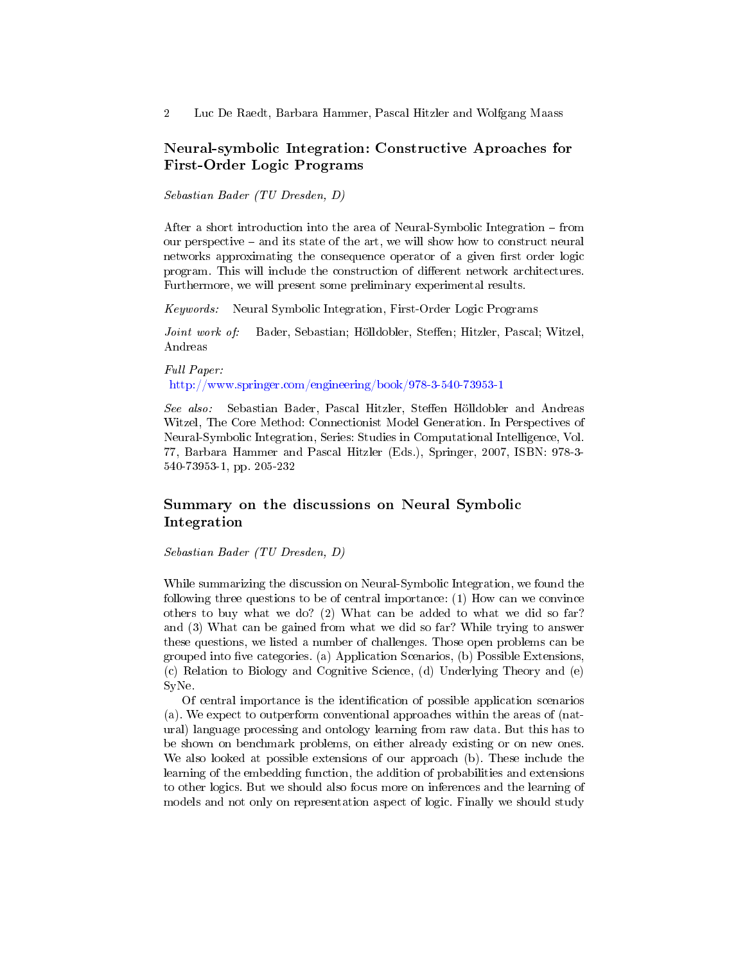# Neural-symbolic Integration: Constructive Aproaches for First-Order Logic Programs

Sebastian Bader (TU Dresden, D)

After a short introduction into the area of Neural-Symbolic Integration from our perspective  $-$  and its state of the art, we will show how to construct neural networks approximating the consequence operator of a given first order logic program. This will include the construction of different network architectures. Furthermore, we will present some preliminary experimental results.

Keywords: Neural Symbolic Integration, First-Order Logic Programs

Joint work of: Bader, Sebastian; Hölldobler, Steffen; Hitzler, Pascal; Witzel, Andreas

Full Paper: <http://www.springer.com/engineering/book/978-3-540-73953-1>

See also: Sebastian Bader, Pascal Hitzler, Steffen Hölldobler and Andreas Witzel, The Core Method: Connectionist Model Generation. In Perspectives of Neural-Symbolic Integration, Series: Studies in Computational Intelligence, Vol. 77, Barbara Hammer and Pascal Hitzler (Eds.), Springer, 2007, ISBN: 978-3- 540-73953-1, pp. 205-232

### Summary on the discussions on Neural Symbolic Integration

Sebastian Bader (TU Dresden, D)

While summarizing the discussion on Neural-Symbolic Integration, we found the following three questions to be of central importance: (1) How can we convince others to buy what we do? (2) What can be added to what we did so far? and (3) What can be gained from what we did so far? While trying to answer these questions, we listed a number of challenges. Those open problems can be grouped into five categories. (a) Application Scenarios, (b) Possible Extensions, (c) Relation to Biology and Cognitive Science, (d) Underlying Theory and (e) SyNe.

Of central importance is the identification of possible application scenarios (a). We expect to outperform conventional approaches within the areas of (natural) language processing and ontology learning from raw data. But this has to be shown on benchmark problems, on either already existing or on new ones. We also looked at possible extensions of our approach (b). These include the learning of the embedding function, the addition of probabilities and extensions to other logics. But we should also focus more on inferences and the learning of models and not only on representation aspect of logic. Finally we should study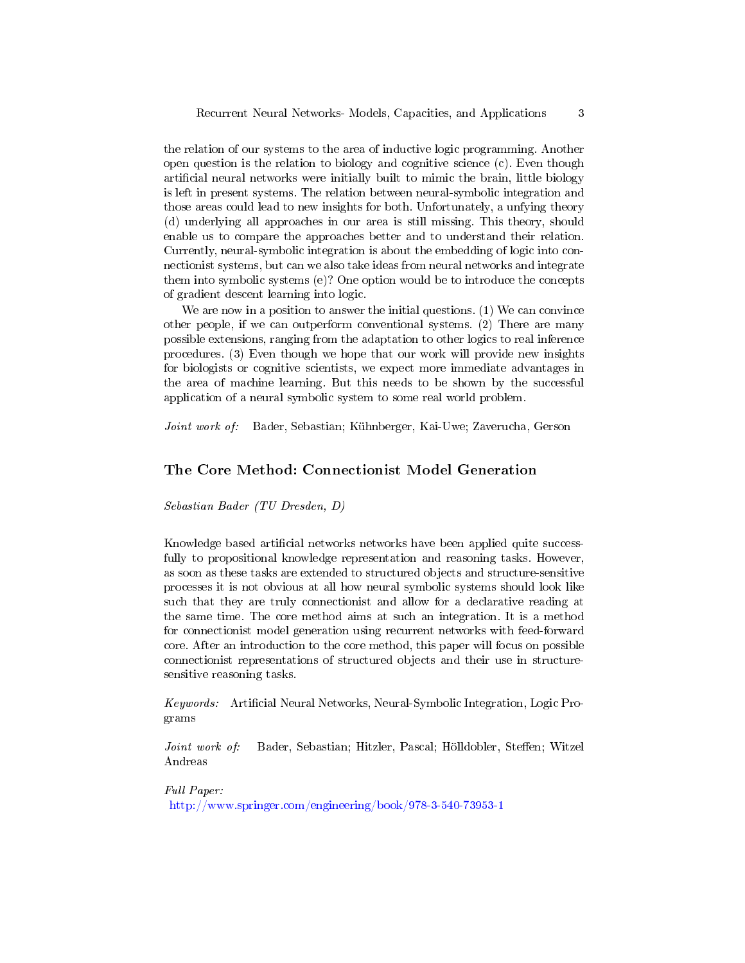the relation of our systems to the area of inductive logic programming. Another open question is the relation to biology and cognitive science (c). Even though artificial neural networks were initially built to mimic the brain, little biology is left in present systems. The relation between neural-symbolic integration and those areas could lead to new insights for both. Unfortunately, a unfying theory (d) underlying all approaches in our area is still missing. This theory, should enable us to compare the approaches better and to understand their relation. Currently, neural-symbolic integration is about the embedding of logic into connectionist systems, but can we also take ideas from neural networks and integrate them into symbolic systems (e)? One option would be to introduce the concepts of gradient descent learning into logic.

We are now in a position to answer the initial questions. (1) We can convince other people, if we can outperform conventional systems. (2) There are many possible extensions, ranging from the adaptation to other logics to real inference procedures. (3) Even though we hope that our work will provide new insights for biologists or cognitive scientists, we expect more immediate advantages in the area of machine learning. But this needs to be shown by the successful application of a neural symbolic system to some real world problem.

Joint work of: Bader, Sebastian; Kühnberger, Kai-Uwe; Zaverucha, Gerson

#### The Core Method: Connectionist Model Generation

Sebastian Bader (TU Dresden, D)

Knowledge based artificial networks networks have been applied quite successfully to propositional knowledge representation and reasoning tasks. However, as soon as these tasks are extended to structured objects and structure-sensitive processes it is not obvious at all how neural symbolic systems should look like such that they are truly connectionist and allow for a declarative reading at the same time. The core method aims at such an integration. It is a method for connectionist model generation using recurrent networks with feed-forward core. After an introduction to the core method, this paper will focus on possible connectionist representations of structured objects and their use in structuresensitive reasoning tasks.

Keywords: Articial Neural Networks, Neural-Symbolic Integration, Logic Programs

Joint work of: Bader, Sebastian; Hitzler, Pascal; Hölldobler, Steffen; Witzel Andreas

Full Paper: <http://www.springer.com/engineering/book/978-3-540-73953-1>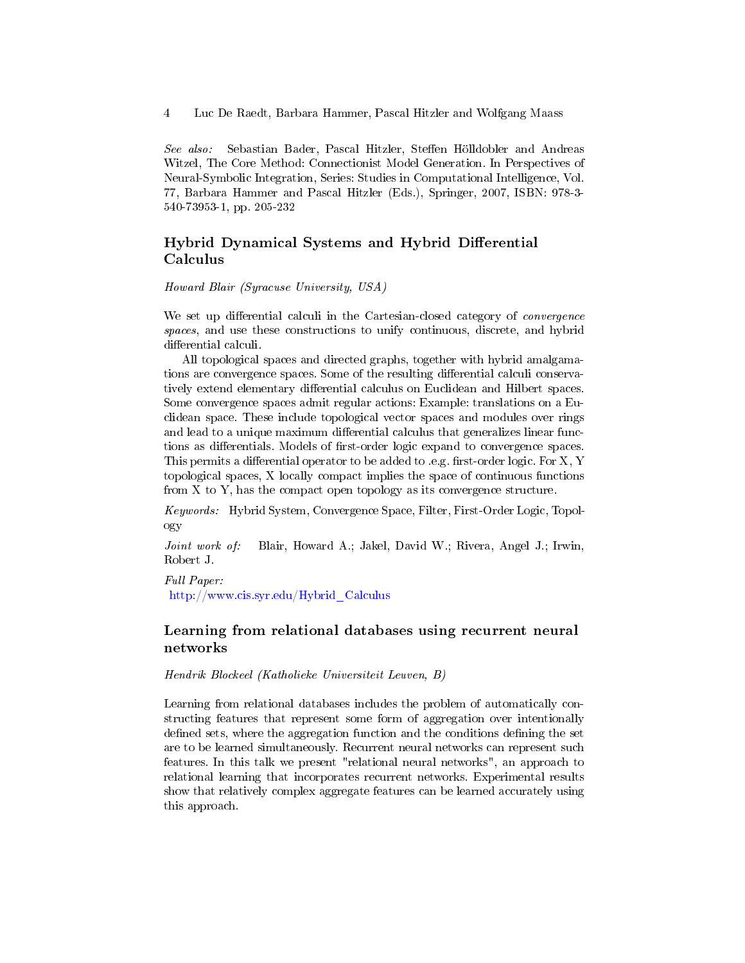See also: Sebastian Bader, Pascal Hitzler, Steffen Hölldobler and Andreas Witzel, The Core Method: Connectionist Model Generation. In Perspectives of Neural-Symbolic Integration, Series: Studies in Computational Intelligence, Vol. 77, Barbara Hammer and Pascal Hitzler (Eds.), Springer, 2007, ISBN: 978-3- 540-73953-1, pp. 205-232

# Hybrid Dynamical Systems and Hybrid Differential Calculus

Howard Blair (Syracuse University, USA)

We set up differential calculi in the Cartesian-closed category of *convergence* spaces, and use these constructions to unify continuous, discrete, and hybrid differential calculi.

All topological spaces and directed graphs, together with hybrid amalgamations are convergence spaces. Some of the resulting differential calculi conservatively extend elementary differential calculus on Euclidean and Hilbert spaces. Some convergence spaces admit regular actions: Example: translations on a Euclidean space. These include topological vector spaces and modules over rings and lead to a unique maximum differential calculus that generalizes linear functions as differentials. Models of first-order logic expand to convergence spaces. This permits a differential operator to be added to .e.g. first-order logic. For  $X, Y$ topological spaces, X locally compact implies the space of continuous functions from X to Y, has the compact open topology as its convergence structure.

Keywords: Hybrid System, Convergence Space, Filter, First-Order Logic, Topology

Joint work of: Blair, Howard A.; Jakel, David W.; Rivera, Angel J.; Irwin, Robert J.

Full Paper: [http://www.cis.syr.edu/Hybrid\\_Calculus](http://www.cis.syr.edu/Hybrid_Calculus)

#### Learning from relational databases using recurrent neural networks

Hendrik Blockeel (Katholieke Universiteit Leuven, B)

Learning from relational databases includes the problem of automatically constructing features that represent some form of aggregation over intentionally defined sets, where the aggregation function and the conditions defining the set are to be learned simultaneously. Recurrent neural networks can represent such features. In this talk we present "relational neural networks", an approach to relational learning that incorporates recurrent networks. Experimental results show that relatively complex aggregate features can be learned accurately using this approach.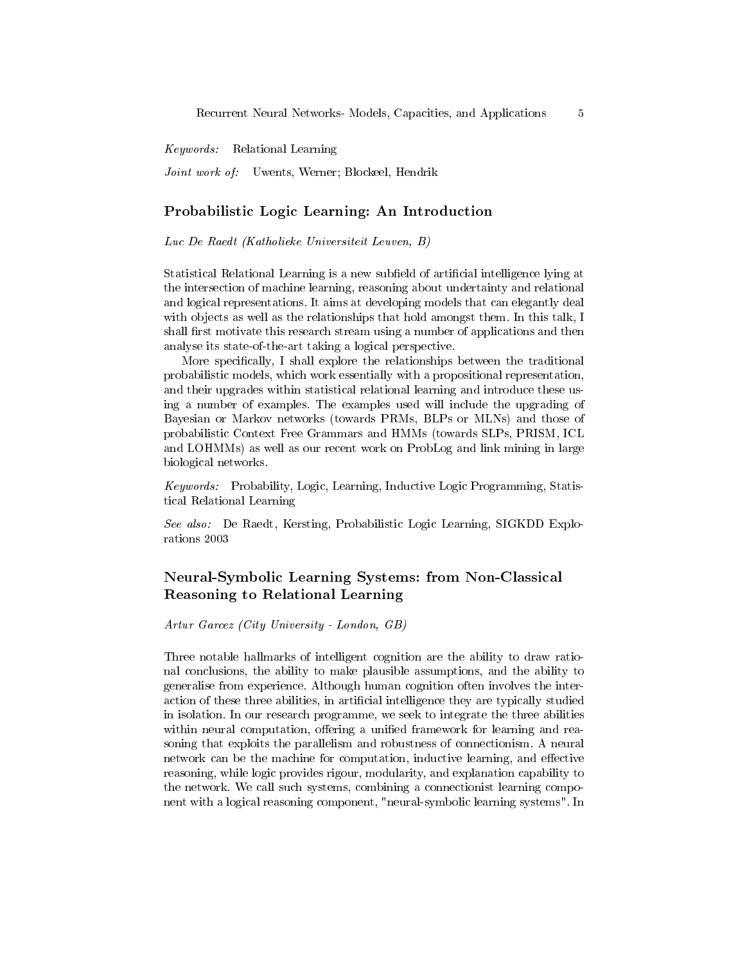Keywords: Relational Learning

Joint work of: Uwents, Werner; Blockeel, Hendrik

#### Probabilistic Logic Learning: An Introduction

Luc De Raedt (Katholieke Universiteit Leuven, B)

Statistical Relational Learning is a new subfield of artificial intelligence lying at the intersection of machine learning, reasoning about undertainty and relational and logical representations. It aims at developing models that can elegantly deal with objects as well as the relationships that hold amongst them. In this talk, I shall first motivate this research stream using a number of applications and then analyse its state-of-the-art taking a logical perspective.

More specifically, I shall explore the relationships between the traditional probabilistic models, which work essentially with a propositional representation, and their upgrades within statistical relational learning and introduce these using a number of examples. The examples used will include the upgrading of Bayesian or Markov networks (towards PRMs, BLPs or MLNs) and those of probabilistic Context Free Grammars and HMMs (towards SLPs, PRISM, ICL and LOHMMs) as well as our recent work on ProbLog and link mining in large biological networks.

Keywords: Probability, Logic, Learning, Inductive Logic Programming, Statistical Relational Learning

See also: De Raedt, Kersting, Probabilistic Logic Learning, SIGKDD Explorations 2003

# Neural-Symbolic Learning Systems: from Non-Classical Reasoning to Relational Learning

Artur Garcez (City University - London, GB)

Three notable hallmarks of intelligent cognition are the ability to draw rational conclusions, the ability to make plausible assumptions, and the ability to generalise from experience. Although human cognition often involves the interaction of these three abilities, in artificial intelligence they are typically studied in isolation. In our research programme, we seek to integrate the three abilities within neural computation, offering a unified framework for learning and reasoning that exploits the parallelism and robustness of connectionism. A neural network can be the machine for computation, inductive learning, and effective reasoning, while logic provides rigour, modularity, and explanation capability to the network. We call such systems, combining a connectionist learning component with a logical reasoning component, "neural-symbolic learning systems". In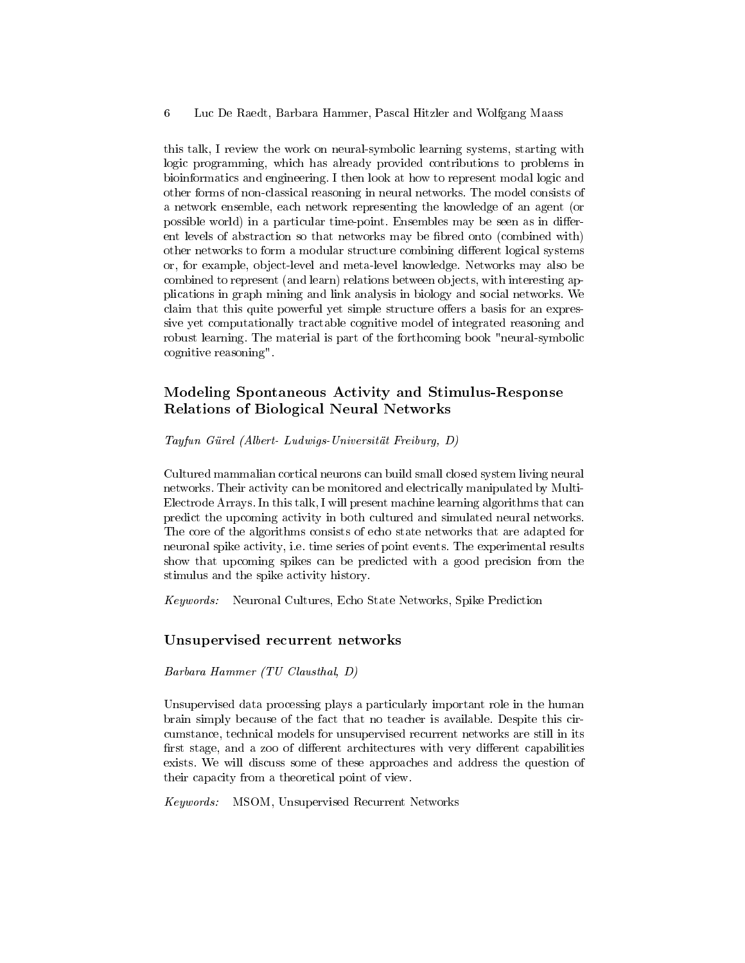this talk, I review the work on neural-symbolic learning systems, starting with logic programming, which has already provided contributions to problems in bioinformatics and engineering. I then look at how to represent modal logic and other forms of non-classical reasoning in neural networks. The model consists of a network ensemble, each network representing the knowledge of an agent (or possible world) in a particular time-point. Ensembles may be seen as in different levels of abstraction so that networks may be fibred onto (combined with) other networks to form a modular structure combining different logical systems or, for example, object-level and meta-level knowledge. Networks may also be combined to represent (and learn) relations between objects, with interesting applications in graph mining and link analysis in biology and social networks. We claim that this quite powerful yet simple structure offers a basis for an expressive yet computationally tractable cognitive model of integrated reasoning and robust learning. The material is part of the forthcoming book "neural-symbolic cognitive reasoning".

# Modeling Spontaneous Activity and Stimulus-Response Relations of Biological Neural Networks

Tayfun Gürel (Albert- Ludwigs-Universität Freiburg, D)

Cultured mammalian cortical neurons can build small closed system living neural networks. Their activity can be monitored and electrically manipulated by Multi-Electrode Arrays. In this talk, I will present machine learning algorithms that can predict the upcoming activity in both cultured and simulated neural networks. The core of the algorithms consists of echo state networks that are adapted for neuronal spike activity, i.e. time series of point events. The experimental results show that upcoming spikes can be predicted with a good precision from the stimulus and the spike activity history.

Keywords: Neuronal Cultures, Echo State Networks, Spike Prediction

#### Unsupervised recurrent networks

Barbara Hammer (TU Clausthal, D)

Unsupervised data processing plays a particularly important role in the human brain simply because of the fact that no teacher is available. Despite this circumstance, technical models for unsupervised recurrent networks are still in its first stage, and a zoo of different architectures with very different capabilities exists. We will discuss some of these approaches and address the question of their capacity from a theoretical point of view.

Keywords: MSOM, Unsupervised Recurrent Networks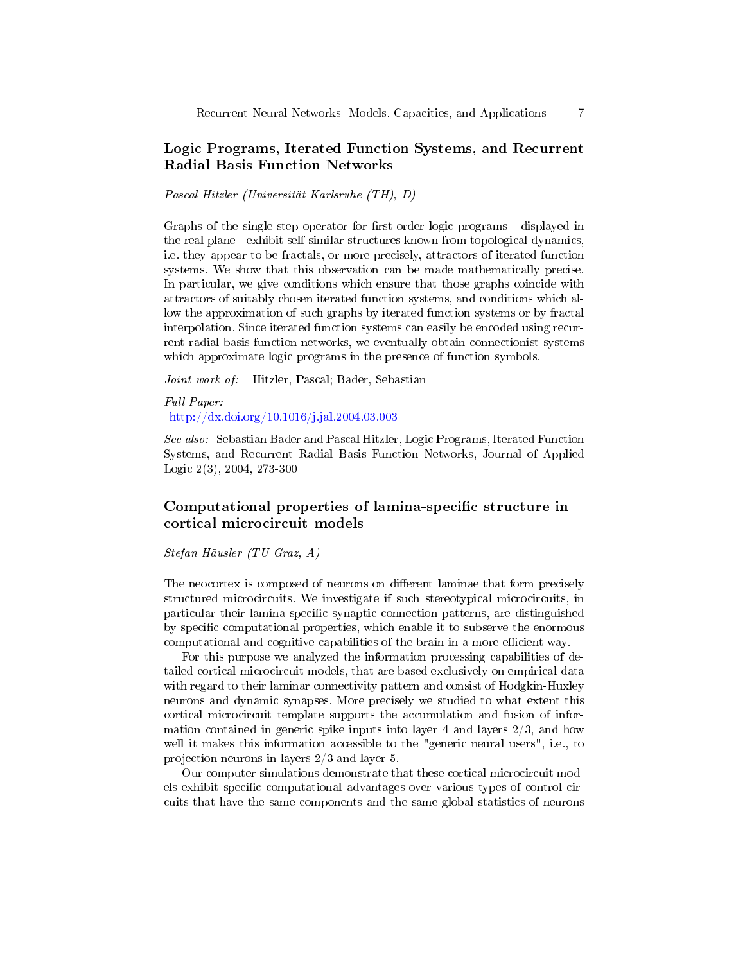#### Logic Programs, Iterated Function Systems, and Recurrent Radial Basis Function Networks

Pascal Hitzler (Universität Karlsruhe (TH), D)

Graphs of the single-step operator for first-order logic programs - displayed in the real plane - exhibit self-similar structures known from topological dynamics, i.e. they appear to be fractals, or more precisely, attractors of iterated function systems. We show that this observation can be made mathematically precise. In particular, we give conditions which ensure that those graphs coincide with attractors of suitably chosen iterated function systems, and conditions which allow the approximation of such graphs by iterated function systems or by fractal interpolation. Since iterated function systems can easily be encoded using recurrent radial basis function networks, we eventually obtain connectionist systems which approximate logic programs in the presence of function symbols.

Joint work of: Hitzler, Pascal; Bader, Sebastian

Full Paper: <http://dx.doi.org/10.1016/j.jal.2004.03.003>

See also: Sebastian Bader and Pascal Hitzler, Logic Programs, Iterated Function Systems, and Recurrent Radial Basis Function Networks, Journal of Applied Logic 2(3), 2004, 273-300

#### Computational properties of lamina-specific structure in cortical microcircuit models

Stefan Häusler (TU Graz, A)

The neocortex is composed of neurons on different laminae that form precisely structured microcircuits. We investigate if such stereotypical microcircuits, in particular their lamina-specific synaptic connection patterns, are distinguished by specific computational properties, which enable it to subserve the enormous computational and cognitive capabilities of the brain in a more efficient way.

For this purpose we analyzed the information processing capabilities of detailed cortical microcircuit models, that are based exclusively on empirical data with regard to their laminar connectivity pattern and consist of Hodgkin-Huxley neurons and dynamic synapses. More precisely we studied to what extent this cortical microcircuit template supports the accumulation and fusion of information contained in generic spike inputs into layer 4 and layers  $2/3$ , and how well it makes this information accessible to the "generic neural users", i.e., to projection neurons in layers 2/3 and layer 5.

Our computer simulations demonstrate that these cortical microcircuit models exhibit specific computational advantages over various types of control circuits that have the same components and the same global statistics of neurons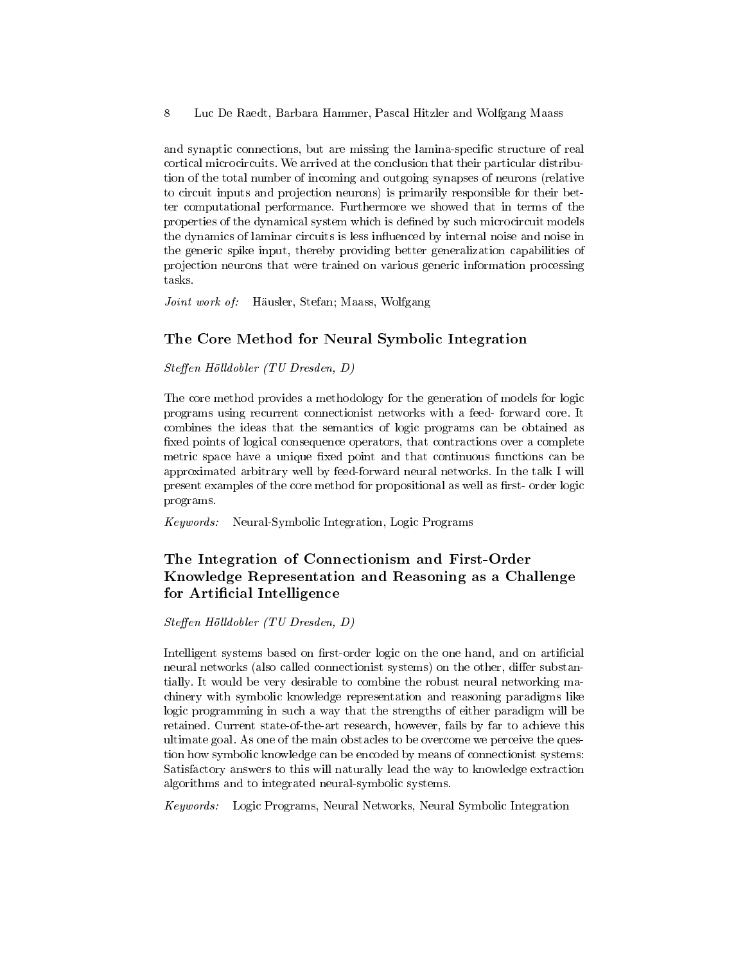and synaptic connections, but are missing the lamina-specific structure of real cortical microcircuits. We arrived at the conclusion that their particular distribution of the total number of incoming and outgoing synapses of neurons (relative to circuit inputs and projection neurons) is primarily responsible for their better computational performance. Furthermore we showed that in terms of the properties of the dynamical system which is defined by such microcircuit models the dynamics of laminar circuits is less influenced by internal noise and noise in the generic spike input, thereby providing better generalization capabilities of projection neurons that were trained on various generic information processing tasks.

Joint work of: Häusler, Stefan; Maass, Wolfgang

#### The Core Method for Neural Symbolic Integration

Steffen Hölldobler (TU Dresden, D)

The core method provides a methodology for the generation of models for logic programs using recurrent connectionist networks with a feed- forward core. It combines the ideas that the semantics of logic programs can be obtained as fixed points of logical consequence operators, that contractions over a complete metric space have a unique fixed point and that continuous functions can be approximated arbitrary well by feed-forward neural networks. In the talk I will present examples of the core method for propositional as well as first-order logic programs.

Keywords: Neural-Symbolic Integration, Logic Programs

# The Integration of Connectionism and First-Order Knowledge Representation and Reasoning as a Challenge for Artificial Intelligence

Steffen Hölldobler (TU Dresden, D)

Intelligent systems based on first-order logic on the one hand, and on artificial neural networks (also called connectionist systems) on the other, differ substantially. It would be very desirable to combine the robust neural networking machinery with symbolic knowledge representation and reasoning paradigms like logic programming in such a way that the strengths of either paradigm will be retained. Current state-of-the-art research, however, fails by far to achieve this ultimate goal. As one of the main obstacles to be overcome we perceive the question how symbolic knowledge can be encoded by means of connectionist systems: Satisfactory answers to this will naturally lead the way to knowledge extraction algorithms and to integrated neural-symbolic systems.

Keywords: Logic Programs, Neural Networks, Neural Symbolic Integration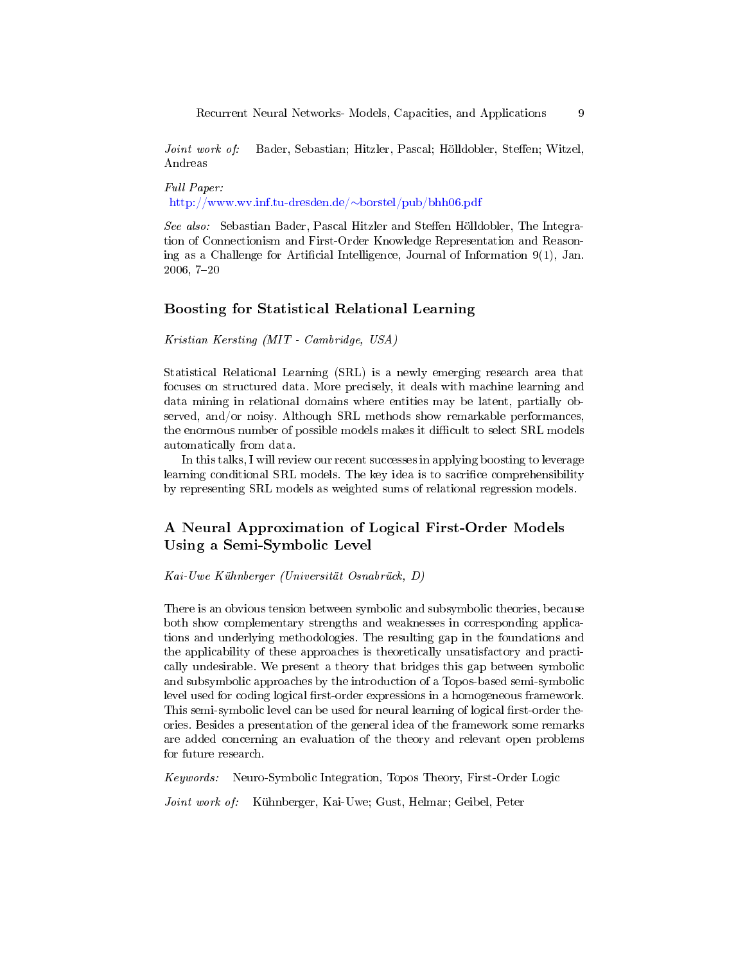Joint work of: Bader, Sebastian; Hitzler, Pascal; Hölldobler, Steffen; Witzel, Andreas

Full Paper: [http://www.wv.inf.tu-dresden.de/](http://www.wv.inf.tu-dresden.de/~borstel/pub/bhh06.pdf)∼borstel/pub/bhh06.pdf

See also: Sebastian Bader, Pascal Hitzler and Steffen Hölldobler, The Integration of Connectionism and First-Order Knowledge Representation and Reasoning as a Challenge for Artificial Intelligence, Journal of Information  $9(1)$ , Jan.  $2006, 7-20$ 

#### Boosting for Statistical Relational Learning

Kristian Kersting (MIT - Cambridge, USA)

Statistical Relational Learning (SRL) is a newly emerging research area that focuses on structured data. More precisely, it deals with machine learning and data mining in relational domains where entities may be latent, partially observed, and/or noisy. Although SRL methods show remarkable performances, the enormous number of possible models makes it difficult to select SRL models automatically from data.

In this talks, I will review our recent successes in applying boosting to leverage learning conditional SRL models. The key idea is to sacrifice comprehensibility by representing SRL models as weighted sums of relational regression models.

## A Neural Approximation of Logical First-Order Models Using a Semi-Symbolic Level

Kai-Uwe Kühnberger (Universität Osnabrück, D)

There is an obvious tension between symbolic and subsymbolic theories, because both show complementary strengths and weaknesses in corresponding applications and underlying methodologies. The resulting gap in the foundations and the applicability of these approaches is theoretically unsatisfactory and practically undesirable. We present a theory that bridges this gap between symbolic and subsymbolic approaches by the introduction of a Topos-based semi-symbolic level used for coding logical first-order expressions in a homogeneous framework. This semi-symbolic level can be used for neural learning of logical first-order theories. Besides a presentation of the general idea of the framework some remarks are added concerning an evaluation of the theory and relevant open problems for future research.

Keywords: Neuro-Symbolic Integration, Topos Theory, First-Order Logic

Joint work of: Kühnberger, Kai-Uwe; Gust, Helmar; Geibel, Peter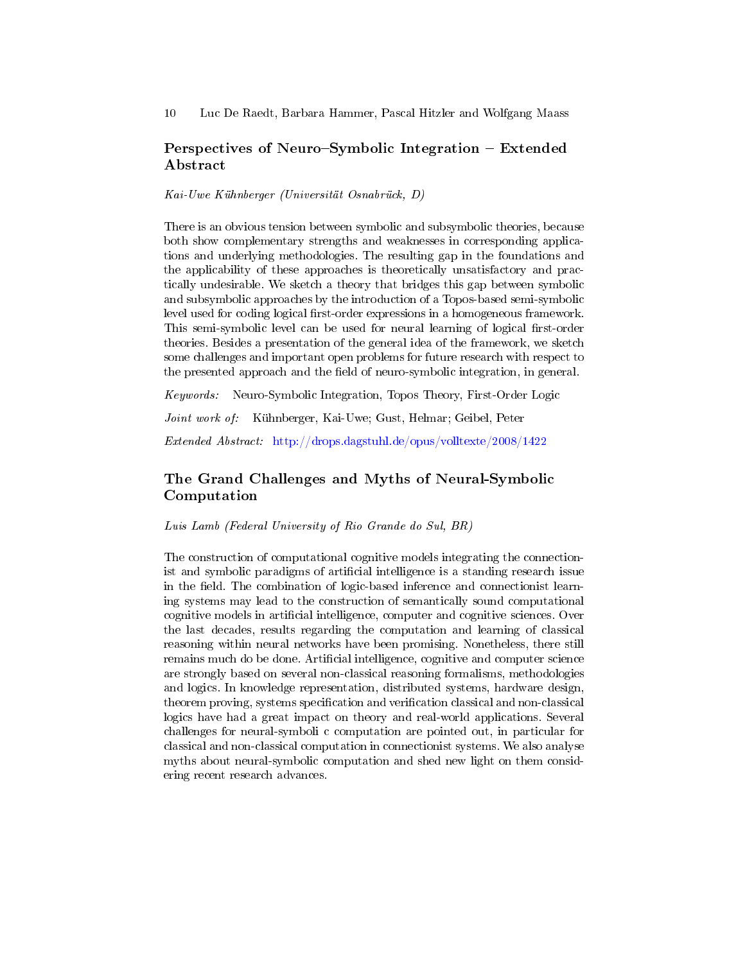## Perspectives of Neuro-Symbolic Integration  $-$  Extended Abstract

Kai-Uwe Kühnberger (Universität Osnabrück, D)

There is an obvious tension between symbolic and subsymbolic theories, because both show complementary strengths and weaknesses in corresponding applications and underlying methodologies. The resulting gap in the foundations and the applicability of these approaches is theoretically unsatisfactory and practically undesirable. We sketch a theory that bridges this gap between symbolic and subsymbolic approaches by the introduction of a Topos-based semi-symbolic level used for coding logical first-order expressions in a homogeneous framework. This semi-symbolic level can be used for neural learning of logical first-order theories. Besides a presentation of the general idea of the framework, we sketch some challenges and important open problems for future research with respect to the presented approach and the field of neuro-symbolic integration, in general.

Keywords: Neuro-Symbolic Integration, Topos Theory, First-Order Logic

Joint work of: Kühnberger, Kai-Uwe; Gust, Helmar; Geibel, Peter

Extended Abstract: <http://drops.dagstuhl.de/opus/volltexte/2008/1422>

# The Grand Challenges and Myths of Neural-Symbolic Computation

Luis Lamb (Federal University of Rio Grande do Sul, BR)

The construction of computational cognitive models integrating the connectionist and symbolic paradigms of artificial intelligence is a standing research issue in the field. The combination of logic-based inference and connectionist learning systems may lead to the construction of semantically sound computational cognitive models in artificial intelligence, computer and cognitive sciences. Over the last decades, results regarding the computation and learning of classical reasoning within neural networks have been promising. Nonetheless, there still remains much do be done. Artificial intelligence, cognitive and computer science are strongly based on several non-classical reasoning formalisms, methodologies and logics. In knowledge representation, distributed systems, hardware design, theorem proving, systems specification and verification classical and non-classical logics have had a great impact on theory and real-world applications. Several challenges for neural-symboli c computation are pointed out, in particular for classical and non-classical computation in connectionist systems. We also analyse myths about neural-symbolic computation and shed new light on them considering recent research advances.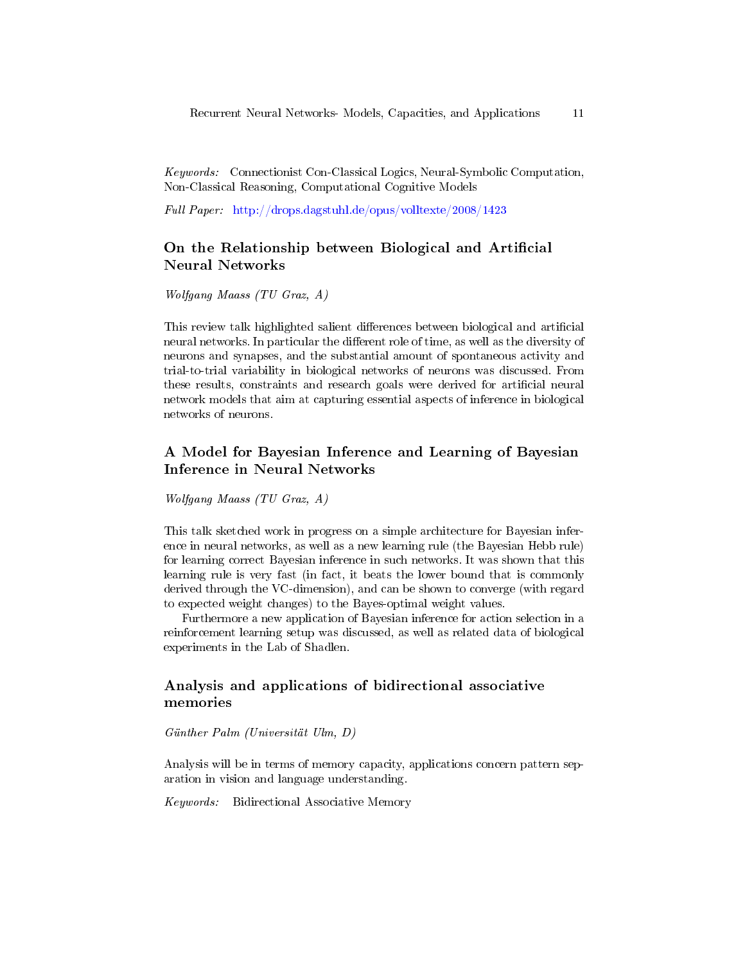Keywords: Connectionist Con-Classical Logics, Neural-Symbolic Computation, Non-Classical Reasoning, Computational Cognitive Models

Full Paper: <http://drops.dagstuhl.de/opus/volltexte/2008/1423>

# On the Relationship between Biological and Artificial Neural Networks

Wolfgang Maass (TU Graz, A)

This review talk highlighted salient differences between biological and artificial neural networks. In particular the different role of time, as well as the diversity of neurons and synapses, and the substantial amount of spontaneous activity and trial-to-trial variability in biological networks of neurons was discussed. From these results, constraints and research goals were derived for articial neural network models that aim at capturing essential aspects of inference in biological networks of neurons.

# A Model for Bayesian Inference and Learning of Bayesian Inference in Neural Networks

Wolfgang Maass (TU Graz, A)

This talk sketched work in progress on a simple architecture for Bayesian inference in neural networks, as well as a new learning rule (the Bayesian Hebb rule) for learning correct Bayesian inference in such networks. It was shown that this learning rule is very fast (in fact, it beats the lower bound that is commonly derived through the VC-dimension), and can be shown to converge (with regard to expected weight changes) to the Bayes-optimal weight values.

Furthermore a new application of Bayesian inference for action selection in a reinforcement learning setup was discussed, as well as related data of biological experiments in the Lab of Shadlen.

# Analysis and applications of bidirectional associative memories

Günther Palm (Universität Ulm, D)

Analysis will be in terms of memory capacity, applications concern pattern separation in vision and language understanding.

Keywords: Bidirectional Associative Memory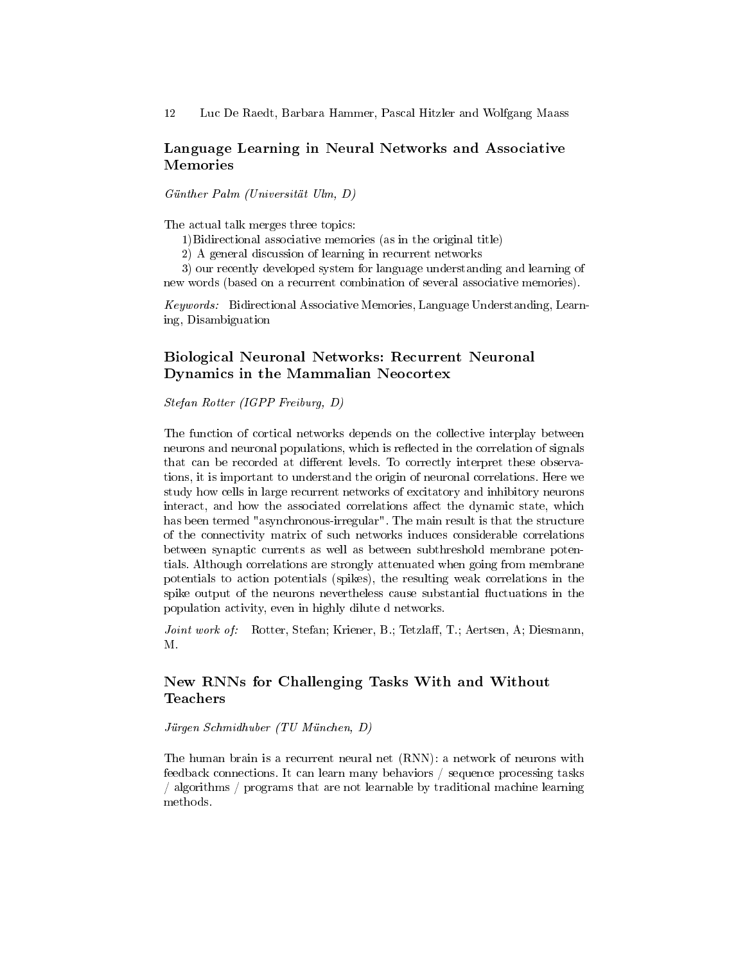#### Language Learning in Neural Networks and Associative Memories

Günther Palm (Universität Ulm, D)

The actual talk merges three topics:

1)Bidirectional associative memories (as in the original title)

2) A general discussion of learning in recurrent networks

3) our recently developed system for language understanding and learning of new words (based on a recurrent combination of several associative memories).

Keywords: Bidirectional Associative Memories, Language Understanding, Learning, Disambiguation

#### Biological Neuronal Networks: Recurrent Neuronal Dynamics in the Mammalian Neocortex

Stefan Rotter (IGPP Freiburg, D)

The function of cortical networks depends on the collective interplay between neurons and neuronal populations, which is reflected in the correlation of signals that can be recorded at different levels. To correctly interpret these observations, it is important to understand the origin of neuronal correlations. Here we study how cells in large recurrent networks of excitatory and inhibitory neurons interact, and how the associated correlations affect the dynamic state, which has been termed "asynchronous-irregular". The main result is that the structure of the connectivity matrix of such networks induces considerable correlations between synaptic currents as well as between subthreshold membrane potentials. Although correlations are strongly attenuated when going from membrane potentials to action potentials (spikes), the resulting weak correlations in the spike output of the neurons nevertheless cause substantial fluctuations in the population activity, even in highly dilute d networks.

Joint work of: Rotter, Stefan; Kriener, B.; Tetzlaff, T.; Aertsen, A; Diesmann, M.

# New RNNs for Challenging Tasks With and Without Teachers

Jürgen Schmidhuber (TU München, D)

The human brain is a recurrent neural net (RNN): a network of neurons with feedback connections. It can learn many behaviors / sequence processing tasks / algorithms / programs that are not learnable by traditional machine learning methods.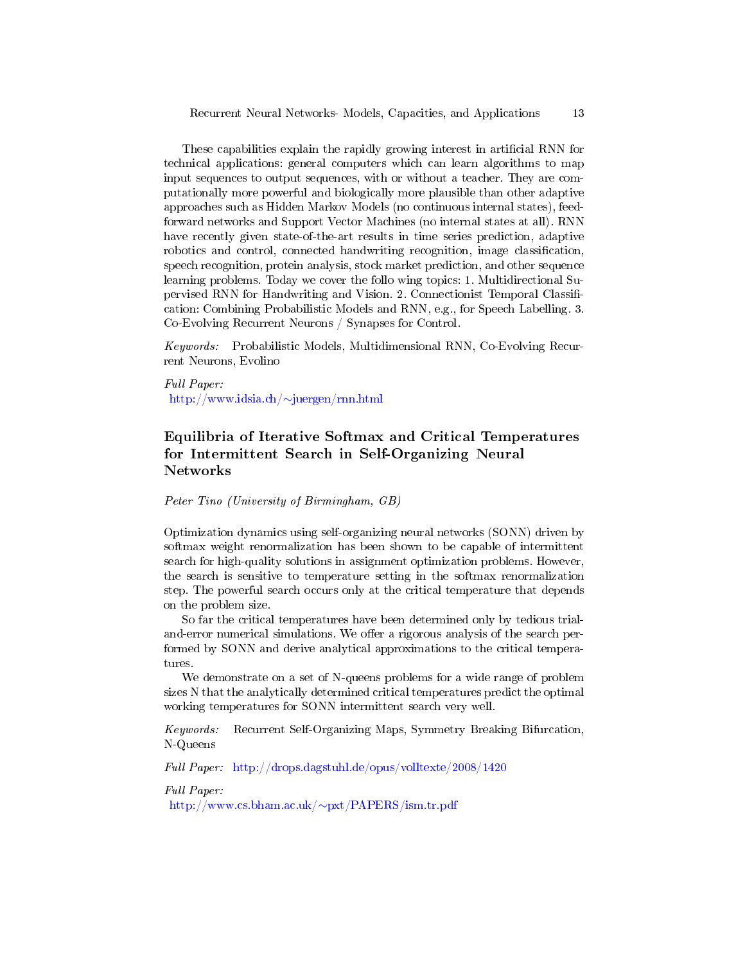These capabilities explain the rapidly growing interest in artificial RNN for technical applications: general computers which can learn algorithms to map input sequences to output sequences, with or without a teacher. They are computationally more powerful and biologically more plausible than other adaptive approaches such as Hidden Markov Models (no continuous internal states), feedforward networks and Support Vector Machines (no internal states at all). RNN have recently given state-of-the-art results in time series prediction, adaptive robotics and control, connected handwriting recognition, image classification, speech recognition, protein analysis, stock market prediction, and other sequence learning problems. Today we cover the follo wing topics: 1. Multidirectional Supervised RNN for Handwriting and Vision. 2. Connectionist Temporal Classification: Combining Probabilistic Models and RNN, e.g., for Speech Labelling. 3. Co-Evolving Recurrent Neurons / Synapses for Control.

Keywords: Probabilistic Models, Multidimensional RNN, Co-Evolving Recurrent Neurons, Evolino

Full Paper: [http://www.idsia.ch/](http://www.idsia.ch/~juergen/rnn.html)∼juergen/rnn.html

# Equilibria of Iterative Softmax and Critical Temperatures for Intermittent Search in Self-Organizing Neural Networks

Peter Tino (University of Birmingham, GB)

Optimization dynamics using self-organizing neural networks (SONN) driven by softmax weight renormalization has been shown to be capable of intermittent search for high-quality solutions in assignment optimization problems. However, the search is sensitive to temperature setting in the softmax renormalization step. The powerful search occurs only at the critical temperature that depends on the problem size.

So far the critical temperatures have been determined only by tedious trialand-error numerical simulations. We offer a rigorous analysis of the search performed by SONN and derive analytical approximations to the critical temperatures.

We demonstrate on a set of N-queens problems for a wide range of problem sizes N that the analytically determined critical temperatures predict the optimal working temperatures for SONN intermittent search very well.

Keywords: Recurrent Self-Organizing Maps, Symmetry Breaking Bifurcation, N-Queens

Full Paper: <http://drops.dagstuhl.de/opus/volltexte/2008/1420>

Full Paper:

[http://www.cs.bham.ac.uk/](http://www.cs.bham.ac.uk/~pxt/PAPERS/ism.tr.pdf)∼pxt/PAPERS/ism.tr.pdf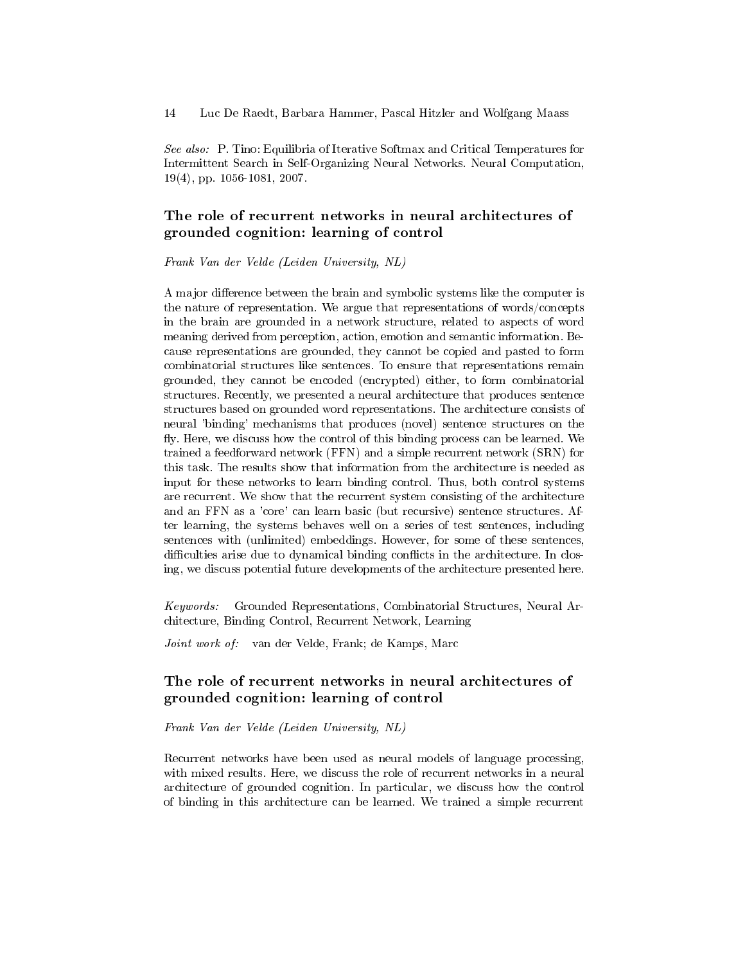See also: P. Tino: Equilibria of Iterative Softmax and Critical Temperatures for Intermittent Search in Self-Organizing Neural Networks. Neural Computation, 19(4), pp. 1056-1081, 2007.

#### The role of recurrent networks in neural architectures of grounded cognition: learning of control

Frank Van der Velde (Leiden University, NL)

A major difference between the brain and symbolic systems like the computer is the nature of representation. We argue that representations of words/concepts in the brain are grounded in a network structure, related to aspects of word meaning derived from perception, action, emotion and semantic information. Because representations are grounded, they cannot be copied and pasted to form combinatorial structures like sentences. To ensure that representations remain grounded, they cannot be encoded (encrypted) either, to form combinatorial structures. Recently, we presented a neural architecture that produces sentence structures based on grounded word representations. The architecture consists of neural 'binding' mechanisms that produces (novel) sentence structures on the fly. Here, we discuss how the control of this binding process can be learned. We trained a feedforward network (FFN) and a simple recurrent network (SRN) for this task. The results show that information from the architecture is needed as input for these networks to learn binding control. Thus, both control systems are recurrent. We show that the recurrent system consisting of the architecture and an FFN as a 'core' can learn basic (but recursive) sentence structures. After learning, the systems behaves well on a series of test sentences, including sentences with (unlimited) embeddings. However, for some of these sentences, difficulties arise due to dynamical binding conflicts in the architecture. In closing, we discuss potential future developments of the architecture presented here.

Keywords: Grounded Representations, Combinatorial Structures, Neural Architecture, Binding Control, Recurrent Network, Learning

Joint work of: van der Velde, Frank; de Kamps, Marc

# The role of recurrent networks in neural architectures of grounded cognition: learning of control

Frank Van der Velde (Leiden University, NL)

Recurrent networks have been used as neural models of language processing, with mixed results. Here, we discuss the role of recurrent networks in a neural architecture of grounded cognition. In particular, we discuss how the control of binding in this architecture can be learned. We trained a simple recurrent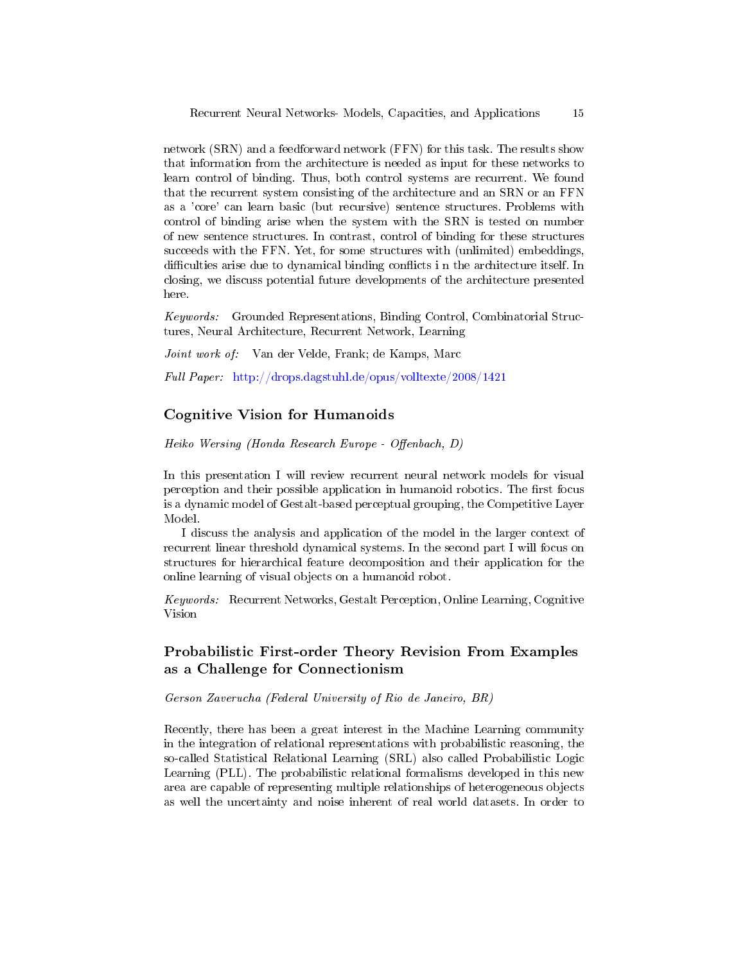network (SRN) and a feedforward network (FFN) for this task. The results show that information from the architecture is needed as input for these networks to learn control of binding. Thus, both control systems are recurrent. We found that the recurrent system consisting of the architecture and an SRN or an FFN as a 'core' can learn basic (but recursive) sentence structures. Problems with control of binding arise when the system with the SRN is tested on number of new sentence structures. In contrast, control of binding for these structures succeeds with the FFN. Yet, for some structures with (unlimited) embeddings, difficulties arise due to dynamical binding conflicts in the architecture itself. In closing, we discuss potential future developments of the architecture presented here.

Keywords: Grounded Representations, Binding Control, Combinatorial Structures, Neural Architecture, Recurrent Network, Learning

Joint work of: Van der Velde, Frank; de Kamps, Marc

Full Paper: <http://drops.dagstuhl.de/opus/volltexte/2008/1421>

#### Cognitive Vision for Humanoids

 $Heiko$  Wersing (Honda Research Europe - Offenbach, D)

In this presentation I will review recurrent neural network models for visual perception and their possible application in humanoid robotics. The first focus is a dynamic model of Gestalt-based perceptual grouping, the Competitive Layer Model.

I discuss the analysis and application of the model in the larger context of recurrent linear threshold dynamical systems. In the second part I will focus on structures for hierarchical feature decomposition and their application for the online learning of visual objects on a humanoid robot.

Keywords: Recurrent Networks, Gestalt Perception, Online Learning, Cognitive Vision

# Probabilistic First-order Theory Revision From Examples as a Challenge for Connectionism

Gerson Zaverucha (Federal University of Rio de Janeiro, BR)

Recently, there has been a great interest in the Machine Learning community in the integration of relational representations with probabilistic reasoning, the so-called Statistical Relational Learning (SRL) also called Probabilistic Logic Learning (PLL). The probabilistic relational formalisms developed in this new area are capable of representing multiple relationships of heterogeneous objects as well the uncertainty and noise inherent of real world datasets. In order to